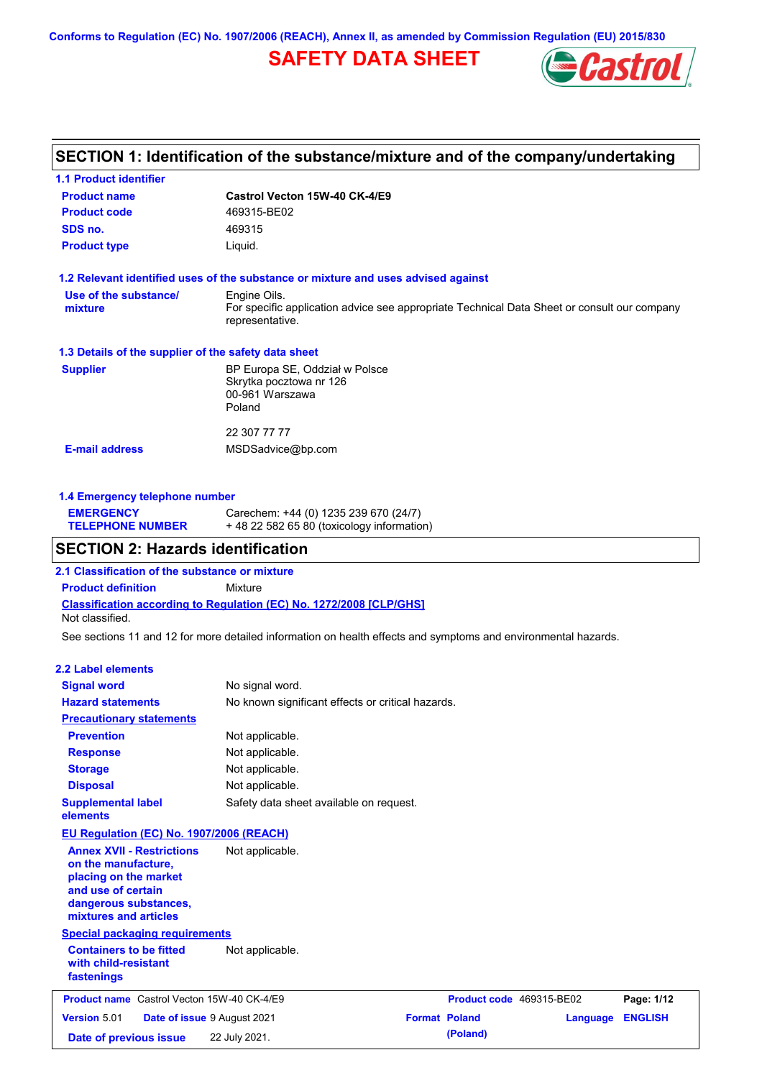**Conforms to Regulation (EC) No. 1907/2006 (REACH), Annex II, as amended by Commission Regulation (EU) 2015/830**

## **SAFETY DATA SHEET**



## **SECTION 1: Identification of the substance/mixture and of the company/undertaking**

| Castrol Vecton 15W-40 CK-4/E9<br>469315-BE02                                                                   |
|----------------------------------------------------------------------------------------------------------------|
|                                                                                                                |
|                                                                                                                |
| 469315                                                                                                         |
| Liquid.                                                                                                        |
| 1.2 Relevant identified uses of the substance or mixture and uses advised against                              |
| Engine Oils.                                                                                                   |
| For specific application advice see appropriate Technical Data Sheet or consult our company<br>representative. |
| 1.3 Details of the supplier of the safety data sheet                                                           |
| BP Europa SE, Oddział w Polsce                                                                                 |
| Skrytka pocztowa nr 126                                                                                        |
| 00-961 Warszawa                                                                                                |
| Poland                                                                                                         |
| 22 307 77 77                                                                                                   |
| MSDSadvice@bp.com                                                                                              |
|                                                                                                                |

### **1.4 Emergency telephone number**

| <b>EMERGENCY</b>        | Carechem: +44 (0) 1235 239 670 (24/7)     |
|-------------------------|-------------------------------------------|
| <b>TELEPHONE NUMBER</b> | +48 22 582 65 80 (toxicology information) |

## **SECTION 2: Hazards identification**

**2.1 Classification of the substance or mixture**

**Classification according to Regulation (EC) No. 1272/2008 [CLP/GHS] Product definition** Mixture Not classified.

See sections 11 and 12 for more detailed information on health effects and symptoms and environmental hazards.

### **2.2 Label elements**

| <b>Signal word</b>                                                                                                                                       | No signal word.                                   |                      |                          |          |                |
|----------------------------------------------------------------------------------------------------------------------------------------------------------|---------------------------------------------------|----------------------|--------------------------|----------|----------------|
| <b>Hazard statements</b>                                                                                                                                 | No known significant effects or critical hazards. |                      |                          |          |                |
| <b>Precautionary statements</b>                                                                                                                          |                                                   |                      |                          |          |                |
| <b>Prevention</b>                                                                                                                                        | Not applicable.                                   |                      |                          |          |                |
| <b>Response</b>                                                                                                                                          | Not applicable.                                   |                      |                          |          |                |
| <b>Storage</b>                                                                                                                                           | Not applicable.                                   |                      |                          |          |                |
| <b>Disposal</b>                                                                                                                                          | Not applicable.                                   |                      |                          |          |                |
| <b>Supplemental label</b><br>elements                                                                                                                    | Safety data sheet available on request.           |                      |                          |          |                |
| EU Regulation (EC) No. 1907/2006 (REACH)                                                                                                                 |                                                   |                      |                          |          |                |
| <b>Annex XVII - Restrictions</b><br>on the manufacture,<br>placing on the market<br>and use of certain<br>dangerous substances,<br>mixtures and articles | Not applicable.                                   |                      |                          |          |                |
| <b>Special packaging requirements</b>                                                                                                                    |                                                   |                      |                          |          |                |
| <b>Containers to be fitted</b><br>with child-resistant<br>fastenings                                                                                     | Not applicable.                                   |                      |                          |          |                |
| <b>Product name</b> Castrol Vecton 15W-40 CK-4/E9                                                                                                        |                                                   |                      | Product code 469315-BE02 |          | Page: 1/12     |
| <b>Version 5.01</b>                                                                                                                                      | Date of issue 9 August 2021                       | <b>Format Poland</b> |                          | Language | <b>ENGLISH</b> |
| Date of previous issue                                                                                                                                   | 22 July 2021.                                     |                      | (Poland)                 |          |                |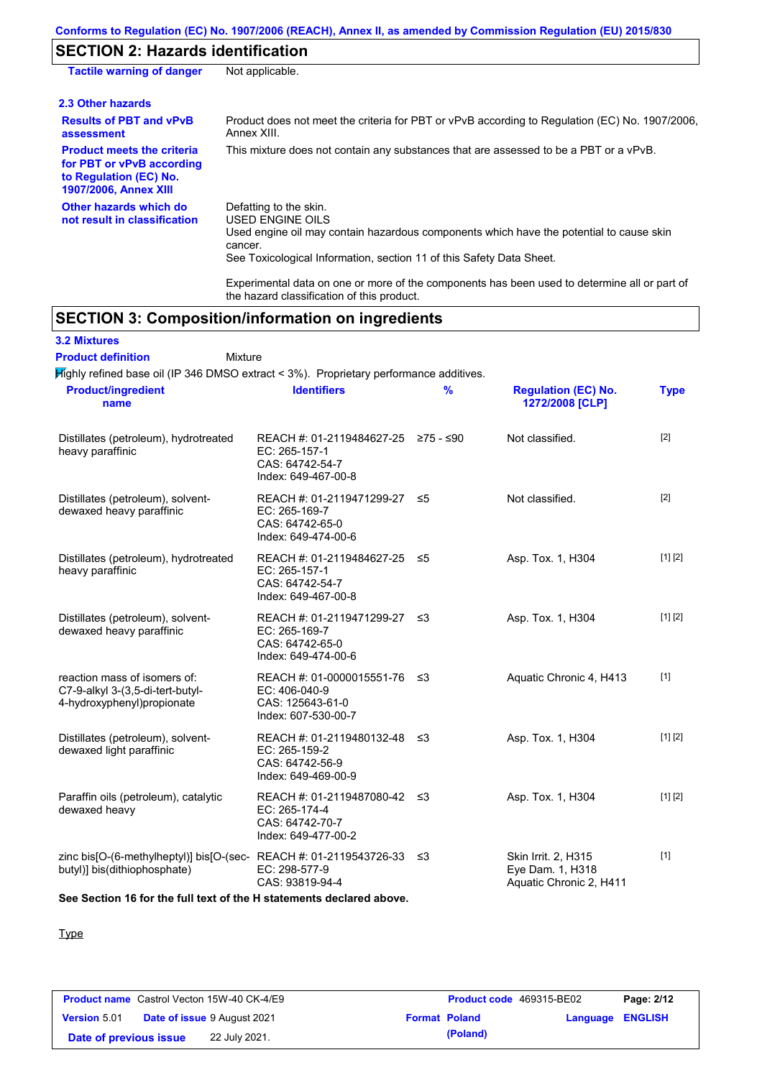## **SECTION 2: Hazards identification**

| <b>Tactile warning of danger</b>                                                                                         | Not applicable.                                                                                                                                                                                                          |
|--------------------------------------------------------------------------------------------------------------------------|--------------------------------------------------------------------------------------------------------------------------------------------------------------------------------------------------------------------------|
| 2.3 Other hazards                                                                                                        |                                                                                                                                                                                                                          |
| <b>Results of PBT and vPvB</b><br>assessment                                                                             | Product does not meet the criteria for PBT or vPvB according to Regulation (EC) No. 1907/2006.<br>Annex XIII.                                                                                                            |
| <b>Product meets the criteria</b><br>for PBT or vPvB according<br>to Regulation (EC) No.<br><b>1907/2006, Annex XIII</b> | This mixture does not contain any substances that are assessed to be a PBT or a vPvB.                                                                                                                                    |
| Other hazards which do<br>not result in classification                                                                   | Defatting to the skin.<br>USED ENGINE OILS<br>Used engine oil may contain hazardous components which have the potential to cause skin<br>cancer.<br>See Toxicological Information, section 11 of this Safety Data Sheet. |
|                                                                                                                          | the contract of the contract of the contract of the contract of the contract of the contract of the contract of                                                                                                          |

Experimental data on one or more of the components has been used to determine all or part of the hazard classification of this product.

## **SECTION 3: Composition/information on ingredients**

**3.2 Mixtures**

Mixture **Product definition**

Highly refined base oil (IP 346 DMSO extract < 3%). Proprietary performance additives.

| <b>Product/ingredient</b><br>name                                                                    | <b>Identifiers</b>                                                                             | $\frac{9}{6}$ | <b>Regulation (EC) No.</b><br>1272/2008 [CLP]                      | <b>Type</b> |
|------------------------------------------------------------------------------------------------------|------------------------------------------------------------------------------------------------|---------------|--------------------------------------------------------------------|-------------|
| Distillates (petroleum), hydrotreated<br>heavy paraffinic                                            | REACH #: 01-2119484627-25 ≥75 - ≤90<br>EC: 265-157-1<br>CAS: 64742-54-7<br>Index: 649-467-00-8 |               | Not classified.                                                    | $[2]$       |
| Distillates (petroleum), solvent-<br>dewaxed heavy paraffinic                                        | REACH #: 01-2119471299-27 ≤5<br>EC: 265-169-7<br>CAS: 64742-65-0<br>Index: 649-474-00-6        |               | Not classified.                                                    | $[2]$       |
| Distillates (petroleum), hydrotreated<br>heavy paraffinic                                            | REACH #: 01-2119484627-25 ≤5<br>EC: 265-157-1<br>CAS: 64742-54-7<br>Index: 649-467-00-8        |               | Asp. Tox. 1, H304                                                  | [1] [2]     |
| Distillates (petroleum), solvent-<br>dewaxed heavy paraffinic                                        | REACH #: 01-2119471299-27 ≤3<br>EC: 265-169-7<br>CAS: 64742-65-0<br>Index: 649-474-00-6        |               | Asp. Tox. 1, H304                                                  | [1] [2]     |
| reaction mass of isomers of:<br>C7-9-alkyl 3-(3,5-di-tert-butyl-<br>4-hydroxyphenyl)propionate       | REACH #: 01-0000015551-76 ≤3<br>EC: 406-040-9<br>CAS: 125643-61-0<br>Index: 607-530-00-7       |               | Aquatic Chronic 4, H413                                            | $[1]$       |
| Distillates (petroleum), solvent-<br>dewaxed light paraffinic                                        | REACH #: 01-2119480132-48 ≤3<br>EC: 265-159-2<br>CAS: 64742-56-9<br>Index: 649-469-00-9        |               | Asp. Tox. 1, H304                                                  | [1] [2]     |
| Paraffin oils (petroleum), catalytic<br>dewaxed heavy                                                | REACH #: 01-2119487080-42 ≤3<br>EC: 265-174-4<br>CAS: 64742-70-7<br>Index: 649-477-00-2        |               | Asp. Tox. 1, H304                                                  | [1] [2]     |
| zinc bis[O-(6-methylheptyl)] bis[O-(sec-REACH #: 01-2119543726-33 ≤3<br>butyl)] bis(dithiophosphate) | EC: 298-577-9<br>CAS: 93819-94-4                                                               |               | Skin Irrit. 2, H315<br>Eye Dam. 1, H318<br>Aquatic Chronic 2, H411 | $[1]$       |

**See Section 16 for the full text of the H statements declared above.**

**Type** 

|                        | <b>Product name</b> Castrol Vecton 15W-40 CK-4/E9 | <b>Product code</b> 469315-BE02 |                         | Page: 2/12 |
|------------------------|---------------------------------------------------|---------------------------------|-------------------------|------------|
| <b>Version 5.01</b>    | <b>Date of issue 9 August 2021</b>                | <b>Format Poland</b>            | <b>Language ENGLISH</b> |            |
| Date of previous issue | 22 July 2021.                                     | (Poland)                        |                         |            |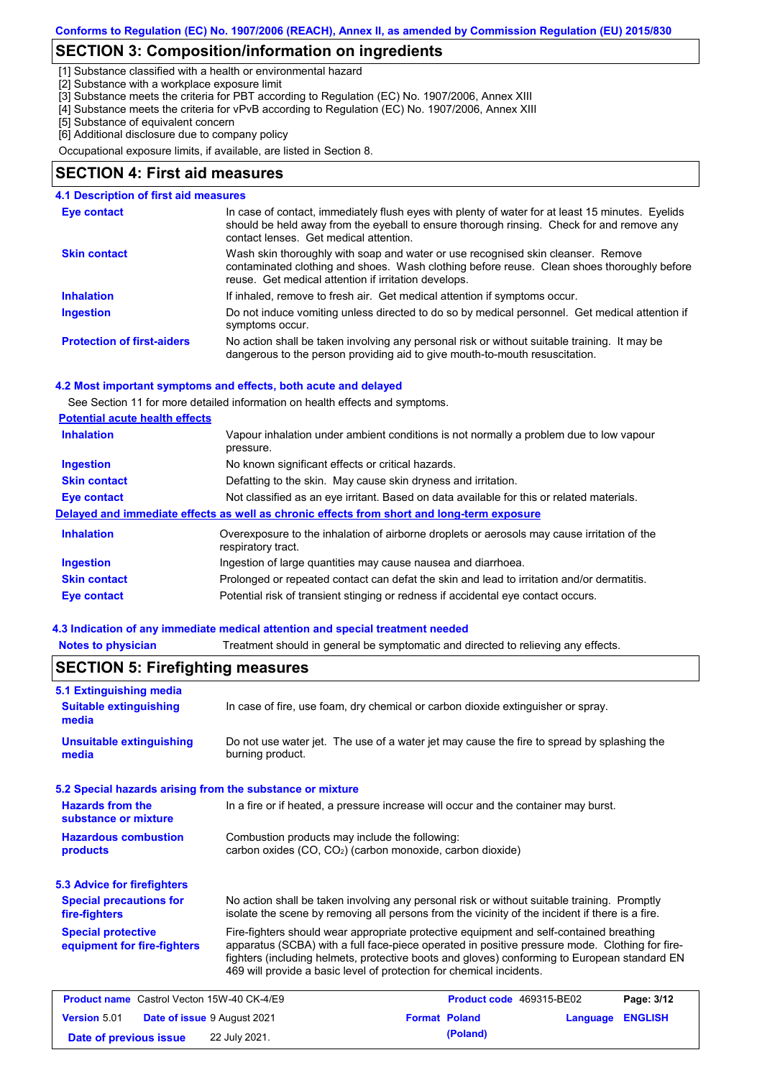## **SECTION 3: Composition/information on ingredients**

[1] Substance classified with a health or environmental hazard

[2] Substance with a workplace exposure limit

[3] Substance meets the criteria for PBT according to Regulation (EC) No. 1907/2006, Annex XIII

- [4] Substance meets the criteria for vPvB according to Regulation (EC) No. 1907/2006, Annex XIII
- [5] Substance of equivalent concern

[6] Additional disclosure due to company policy

Occupational exposure limits, if available, are listed in Section 8.

### **SECTION 4: First aid measures**

### **4.1 Description of first aid measures**

| Eye contact                       | In case of contact, immediately flush eyes with plenty of water for at least 15 minutes. Eyelids<br>should be held away from the eyeball to ensure thorough rinsing. Check for and remove any<br>contact lenses. Get medical attention. |
|-----------------------------------|-----------------------------------------------------------------------------------------------------------------------------------------------------------------------------------------------------------------------------------------|
| <b>Skin contact</b>               | Wash skin thoroughly with soap and water or use recognised skin cleanser. Remove<br>contaminated clothing and shoes. Wash clothing before reuse. Clean shoes thoroughly before<br>reuse. Get medical attention if irritation develops.  |
| <b>Inhalation</b>                 | If inhaled, remove to fresh air. Get medical attention if symptoms occur.                                                                                                                                                               |
| <b>Ingestion</b>                  | Do not induce vomiting unless directed to do so by medical personnel. Get medical attention if<br>symptoms occur.                                                                                                                       |
| <b>Protection of first-aiders</b> | No action shall be taken involving any personal risk or without suitable training. It may be<br>dangerous to the person providing aid to give mouth-to-mouth resuscitation.                                                             |

### **4.2 Most important symptoms and effects, both acute and delayed**

See Section 11 for more detailed information on health effects and symptoms.

| <b>Potential acute health effects</b> |  |  |
|---------------------------------------|--|--|
|                                       |  |  |

| <b>Inhalation</b>   | Vapour inhalation under ambient conditions is not normally a problem due to low vapour<br>pressure.               |
|---------------------|-------------------------------------------------------------------------------------------------------------------|
| <b>Ingestion</b>    | No known significant effects or critical hazards.                                                                 |
| <b>Skin contact</b> | Defatting to the skin. May cause skin dryness and irritation.                                                     |
| Eye contact         | Not classified as an eye irritant. Based on data available for this or related materials.                         |
|                     | Delayed and immediate effects as well as chronic effects from short and long-term exposure                        |
| <b>Inhalation</b>   | Overexposure to the inhalation of airborne droplets or aerosols may cause irritation of the<br>respiratory tract. |
| <b>Ingestion</b>    | Ingestion of large quantities may cause nausea and diarrhoea.                                                     |
| <b>Skin contact</b> | Prolonged or repeated contact can defat the skin and lead to irritation and/or dermatitis.                        |
| Eye contact         | Potential risk of transient stinging or redness if accidental eye contact occurs.                                 |

### **4.3 Indication of any immediate medical attention and special treatment needed**

**Notes to physician** Treatment should in general be symptomatic and directed to relieving any effects.

| 5.1 Extinguishing media                                   |                                                                                                                                                                                                                                                                                                                                                                   |                      |                          |          |                |
|-----------------------------------------------------------|-------------------------------------------------------------------------------------------------------------------------------------------------------------------------------------------------------------------------------------------------------------------------------------------------------------------------------------------------------------------|----------------------|--------------------------|----------|----------------|
| <b>Suitable extinguishing</b><br>media                    | In case of fire, use foam, dry chemical or carbon dioxide extinguisher or spray.                                                                                                                                                                                                                                                                                  |                      |                          |          |                |
| <b>Unsuitable extinguishing</b><br>media                  | Do not use water jet. The use of a water jet may cause the fire to spread by splashing the<br>burning product.                                                                                                                                                                                                                                                    |                      |                          |          |                |
| 5.2 Special hazards arising from the substance or mixture |                                                                                                                                                                                                                                                                                                                                                                   |                      |                          |          |                |
| <b>Hazards from the</b><br>substance or mixture           | In a fire or if heated, a pressure increase will occur and the container may burst.                                                                                                                                                                                                                                                                               |                      |                          |          |                |
| <b>Hazardous combustion</b><br><b>products</b>            | Combustion products may include the following:<br>carbon oxides (CO, CO <sub>2</sub> ) (carbon monoxide, carbon dioxide)                                                                                                                                                                                                                                          |                      |                          |          |                |
| <b>5.3 Advice for firefighters</b>                        |                                                                                                                                                                                                                                                                                                                                                                   |                      |                          |          |                |
| <b>Special precautions for</b><br>fire-fighters           | No action shall be taken involving any personal risk or without suitable training. Promptly<br>isolate the scene by removing all persons from the vicinity of the incident if there is a fire.                                                                                                                                                                    |                      |                          |          |                |
| <b>Special protective</b><br>equipment for fire-fighters  | Fire-fighters should wear appropriate protective equipment and self-contained breathing<br>apparatus (SCBA) with a full face-piece operated in positive pressure mode. Clothing for fire-<br>fighters (including helmets, protective boots and gloves) conforming to European standard EN<br>469 will provide a basic level of protection for chemical incidents. |                      |                          |          |                |
| <b>Product name</b> Castrol Vecton 15W-40 CK-4/E9         |                                                                                                                                                                                                                                                                                                                                                                   |                      | Product code 469315-BE02 |          | Page: 3/12     |
| <b>Version 5.01</b>                                       | Date of issue 9 August 2021                                                                                                                                                                                                                                                                                                                                       | <b>Format Poland</b> |                          | Language | <b>ENGLISH</b> |
| Date of previous issue                                    | 22 July 2021.                                                                                                                                                                                                                                                                                                                                                     |                      | (Poland)                 |          |                |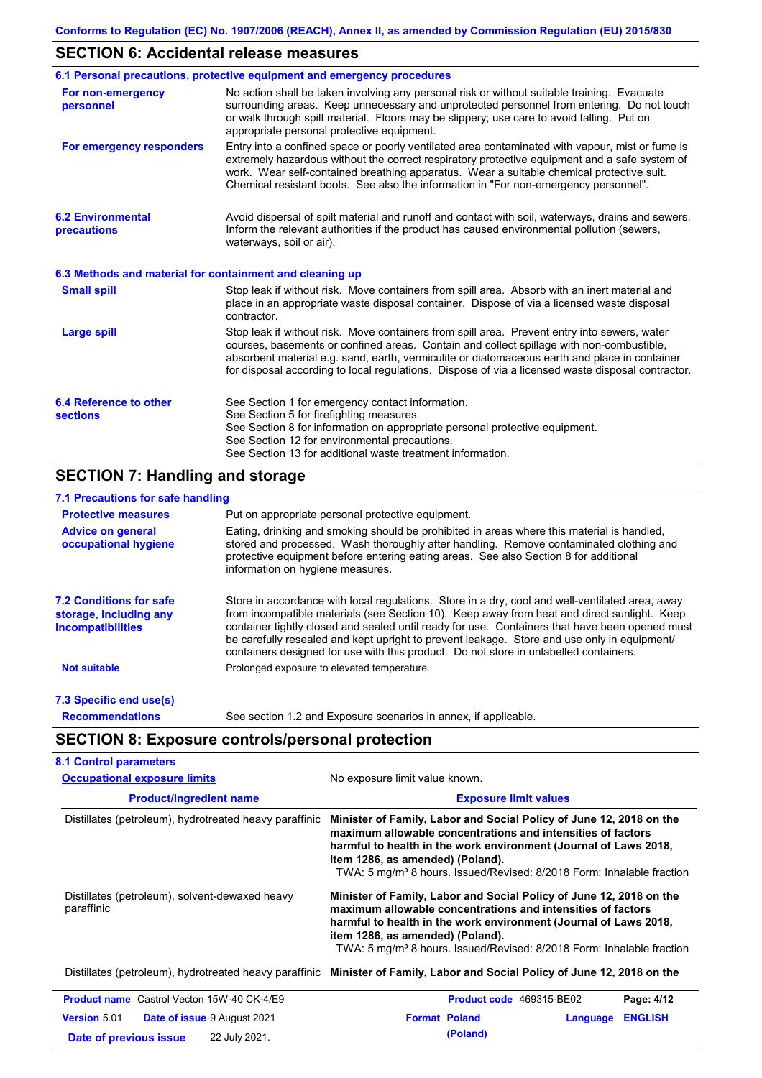## **SECTION 6: Accidental release measures**

|                                                          | 6.1 Personal precautions, protective equipment and emergency procedures                                                                                                                                                                                                                                                                                                                        |  |  |  |
|----------------------------------------------------------|------------------------------------------------------------------------------------------------------------------------------------------------------------------------------------------------------------------------------------------------------------------------------------------------------------------------------------------------------------------------------------------------|--|--|--|
| For non-emergency<br>personnel                           | No action shall be taken involving any personal risk or without suitable training. Evacuate<br>surrounding areas. Keep unnecessary and unprotected personnel from entering. Do not touch<br>or walk through spilt material. Floors may be slippery; use care to avoid falling. Put on<br>appropriate personal protective equipment.                                                            |  |  |  |
| For emergency responders                                 | Entry into a confined space or poorly ventilated area contaminated with vapour, mist or fume is<br>extremely hazardous without the correct respiratory protective equipment and a safe system of<br>work. Wear self-contained breathing apparatus. Wear a suitable chemical protective suit.<br>Chemical resistant boots. See also the information in "For non-emergency personnel".           |  |  |  |
| <b>6.2 Environmental</b><br>precautions                  | Avoid dispersal of spilt material and runoff and contact with soil, waterways, drains and sewers.<br>Inform the relevant authorities if the product has caused environmental pollution (sewers,<br>waterways, soil or air).                                                                                                                                                                    |  |  |  |
| 6.3 Methods and material for containment and cleaning up |                                                                                                                                                                                                                                                                                                                                                                                                |  |  |  |
| <b>Small spill</b>                                       | Stop leak if without risk. Move containers from spill area. Absorb with an inert material and<br>place in an appropriate waste disposal container. Dispose of via a licensed waste disposal<br>contractor.                                                                                                                                                                                     |  |  |  |
| <b>Large spill</b>                                       | Stop leak if without risk. Move containers from spill area. Prevent entry into sewers, water<br>courses, basements or confined areas. Contain and collect spillage with non-combustible,<br>absorbent material e.g. sand, earth, vermiculite or diatomaceous earth and place in container<br>for disposal according to local regulations. Dispose of via a licensed waste disposal contractor. |  |  |  |
| 6.4 Reference to other<br><b>sections</b>                | See Section 1 for emergency contact information.<br>See Section 5 for firefighting measures.<br>See Section 8 for information on appropriate personal protective equipment.<br>See Section 12 for environmental precautions.<br>See Section 13 for additional waste treatment information.                                                                                                     |  |  |  |

## **SECTION 7: Handling and storage**

## **7.1 Precautions for safe handling**

| <b>Protective measures</b>                                                           | Put on appropriate personal protective equipment.                                                                                                                                                                                                                                                                                                                                                                                                                                        |
|--------------------------------------------------------------------------------------|------------------------------------------------------------------------------------------------------------------------------------------------------------------------------------------------------------------------------------------------------------------------------------------------------------------------------------------------------------------------------------------------------------------------------------------------------------------------------------------|
| <b>Advice on general</b><br>occupational hygiene                                     | Eating, drinking and smoking should be prohibited in areas where this material is handled,<br>stored and processed. Wash thoroughly after handling. Remove contaminated clothing and<br>protective equipment before entering eating areas. See also Section 8 for additional<br>information on hygiene measures.                                                                                                                                                                         |
| <b>7.2 Conditions for safe</b><br>storage, including any<br><i>incompatibilities</i> | Store in accordance with local requlations. Store in a dry, cool and well-ventilated area, away<br>from incompatible materials (see Section 10). Keep away from heat and direct sunlight. Keep<br>container tightly closed and sealed until ready for use. Containers that have been opened must<br>be carefully resealed and kept upright to prevent leakage. Store and use only in equipment/<br>containers designed for use with this product. Do not store in unlabelled containers. |
| <b>Not suitable</b>                                                                  | Prolonged exposure to elevated temperature.                                                                                                                                                                                                                                                                                                                                                                                                                                              |
| 7.3 Specific end use(s)                                                              |                                                                                                                                                                                                                                                                                                                                                                                                                                                                                          |
| <b>Recommendations</b>                                                               | See section 1.2 and Exposure scenarios in annex, if applicable.                                                                                                                                                                                                                                                                                                                                                                                                                          |

## **SECTION 8: Exposure controls/personal protection**

| <b>Occupational exposure limits</b>                          | No exposure limit value known.<br><b>Exposure limit values</b>                                                                                                                                                                                                                                                                  |  |  |  |
|--------------------------------------------------------------|---------------------------------------------------------------------------------------------------------------------------------------------------------------------------------------------------------------------------------------------------------------------------------------------------------------------------------|--|--|--|
| <b>Product/ingredient name</b>                               |                                                                                                                                                                                                                                                                                                                                 |  |  |  |
| Distillates (petroleum), hydrotreated heavy paraffinic       | Minister of Family, Labor and Social Policy of June 12, 2018 on the<br>maximum allowable concentrations and intensities of factors<br>harmful to health in the work environment (Journal of Laws 2018,<br>item 1286, as amended) (Poland).<br>TWA: 5 mg/m <sup>3</sup> 8 hours. Issued/Revised: 8/2018 Form: Inhalable fraction |  |  |  |
| Distillates (petroleum), solvent-dewaxed heavy<br>paraffinic | Minister of Family, Labor and Social Policy of June 12, 2018 on the<br>maximum allowable concentrations and intensities of factors<br>harmful to health in the work environment (Journal of Laws 2018,<br>item 1286, as amended) (Poland).<br>TWA: 5 mg/m <sup>3</sup> 8 hours. Issued/Revised: 8/2018 Form: Inhalable fraction |  |  |  |
|                                                              | Distillates (petroleum), hydrotreated heavy paraffinic Minister of Family, Labor and Social Policy of June 12, 2018 on the                                                                                                                                                                                                      |  |  |  |
| <b>Product name</b> Castrol Vecton 15W-40 CK-4/E9            | Page: 4/12<br><b>Product code</b> 469315-BE02                                                                                                                                                                                                                                                                                   |  |  |  |
| <b>Version 5.01</b><br><b>Date of issue 9 August 2021</b>    | <b>Format Poland</b><br><b>ENGLISH</b><br>Language                                                                                                                                                                                                                                                                              |  |  |  |
| 22 July 2021.<br>Date of previous issue                      | (Poland)                                                                                                                                                                                                                                                                                                                        |  |  |  |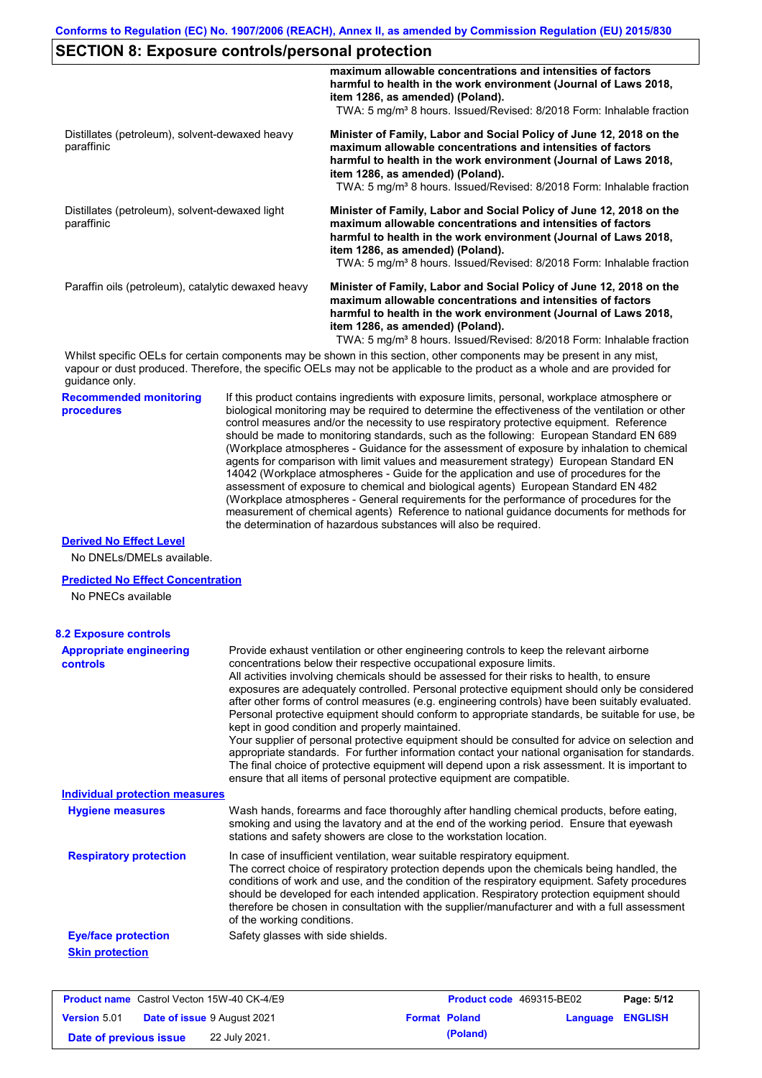|                                                                                                                                                                                    |                                                                                                                                                                                                                                                                                                                                                                                                                                                                                                                                                                                                                                                                                                                                                                                                                                                                                                                                                                                                                            | maximum allowable concentrations and intensities of factors<br>harmful to health in the work environment (Journal of Laws 2018,<br>item 1286, as amended) (Poland).<br>TWA: 5 mg/m <sup>3</sup> 8 hours. Issued/Revised: 8/2018 Form: Inhalable fraction                                                                                                                                                                                                                |  |  |  |
|------------------------------------------------------------------------------------------------------------------------------------------------------------------------------------|----------------------------------------------------------------------------------------------------------------------------------------------------------------------------------------------------------------------------------------------------------------------------------------------------------------------------------------------------------------------------------------------------------------------------------------------------------------------------------------------------------------------------------------------------------------------------------------------------------------------------------------------------------------------------------------------------------------------------------------------------------------------------------------------------------------------------------------------------------------------------------------------------------------------------------------------------------------------------------------------------------------------------|-------------------------------------------------------------------------------------------------------------------------------------------------------------------------------------------------------------------------------------------------------------------------------------------------------------------------------------------------------------------------------------------------------------------------------------------------------------------------|--|--|--|
| Distillates (petroleum), solvent-dewaxed heavy<br>paraffinic<br>Distillates (petroleum), solvent-dewaxed light<br>paraffinic<br>Paraffin oils (petroleum), catalytic dewaxed heavy |                                                                                                                                                                                                                                                                                                                                                                                                                                                                                                                                                                                                                                                                                                                                                                                                                                                                                                                                                                                                                            | Minister of Family, Labor and Social Policy of June 12, 2018 on the<br>maximum allowable concentrations and intensities of factors<br>harmful to health in the work environment (Journal of Laws 2018,<br>item 1286, as amended) (Poland).<br>TWA: 5 mg/m <sup>3</sup> 8 hours. Issued/Revised: 8/2018 Form: Inhalable fraction                                                                                                                                         |  |  |  |
|                                                                                                                                                                                    |                                                                                                                                                                                                                                                                                                                                                                                                                                                                                                                                                                                                                                                                                                                                                                                                                                                                                                                                                                                                                            | Minister of Family, Labor and Social Policy of June 12, 2018 on the<br>maximum allowable concentrations and intensities of factors<br>harmful to health in the work environment (Journal of Laws 2018,<br>item 1286, as amended) (Poland).<br>TWA: 5 mg/m <sup>3</sup> 8 hours. Issued/Revised: 8/2018 Form: Inhalable fraction                                                                                                                                         |  |  |  |
|                                                                                                                                                                                    |                                                                                                                                                                                                                                                                                                                                                                                                                                                                                                                                                                                                                                                                                                                                                                                                                                                                                                                                                                                                                            | Minister of Family, Labor and Social Policy of June 12, 2018 on the<br>maximum allowable concentrations and intensities of factors<br>harmful to health in the work environment (Journal of Laws 2018,<br>item 1286, as amended) (Poland).<br>TWA: 5 mg/m <sup>3</sup> 8 hours. Issued/Revised: 8/2018 Form: Inhalable fraction                                                                                                                                         |  |  |  |
| guidance only.                                                                                                                                                                     |                                                                                                                                                                                                                                                                                                                                                                                                                                                                                                                                                                                                                                                                                                                                                                                                                                                                                                                                                                                                                            | Whilst specific OELs for certain components may be shown in this section, other components may be present in any mist,<br>vapour or dust produced. Therefore, the specific OELs may not be applicable to the product as a whole and are provided for                                                                                                                                                                                                                    |  |  |  |
| <b>Recommended monitoring</b><br>procedures                                                                                                                                        | If this product contains ingredients with exposure limits, personal, workplace atmosphere or<br>biological monitoring may be required to determine the effectiveness of the ventilation or other<br>control measures and/or the necessity to use respiratory protective equipment. Reference<br>should be made to monitoring standards, such as the following: European Standard EN 689<br>(Workplace atmospheres - Guidance for the assessment of exposure by inhalation to chemical<br>agents for comparison with limit values and measurement strategy) European Standard EN<br>14042 (Workplace atmospheres - Guide for the application and use of procedures for the<br>assessment of exposure to chemical and biological agents) European Standard EN 482<br>(Workplace atmospheres - General requirements for the performance of procedures for the<br>measurement of chemical agents) Reference to national guidance documents for methods for<br>the determination of hazardous substances will also be required. |                                                                                                                                                                                                                                                                                                                                                                                                                                                                         |  |  |  |
| <b>Derived No Effect Level</b><br>No DNELs/DMELs available.                                                                                                                        |                                                                                                                                                                                                                                                                                                                                                                                                                                                                                                                                                                                                                                                                                                                                                                                                                                                                                                                                                                                                                            |                                                                                                                                                                                                                                                                                                                                                                                                                                                                         |  |  |  |
| <b>Predicted No Effect Concentration</b><br>No PNECs available                                                                                                                     |                                                                                                                                                                                                                                                                                                                                                                                                                                                                                                                                                                                                                                                                                                                                                                                                                                                                                                                                                                                                                            |                                                                                                                                                                                                                                                                                                                                                                                                                                                                         |  |  |  |
| <b>8.2 Exposure controls</b>                                                                                                                                                       |                                                                                                                                                                                                                                                                                                                                                                                                                                                                                                                                                                                                                                                                                                                                                                                                                                                                                                                                                                                                                            |                                                                                                                                                                                                                                                                                                                                                                                                                                                                         |  |  |  |
| <b>Appropriate engineering</b><br><b>controls</b>                                                                                                                                  | Provide exhaust ventilation or other engineering controls to keep the relevant airborne<br>concentrations below their respective occupational exposure limits.<br>All activities involving chemicals should be assessed for their risks to health, to ensure<br>exposures are adequately controlled. Personal protective equipment should only be considered<br>after other forms of control measures (e.g. engineering controls) have been suitably evaluated.<br>Personal protective equipment should conform to appropriate standards, be suitable for use, be<br>kept in good condition and properly maintained.<br>Your supplier of personal protective equipment should be consulted for advice on selection and<br>appropriate standards. For further information contact your national organisation for standards.<br>The final choice of protective equipment will depend upon a risk assessment. It is important to<br>ensure that all items of personal protective equipment are compatible.                    |                                                                                                                                                                                                                                                                                                                                                                                                                                                                         |  |  |  |
| <b>Individual protection measures</b>                                                                                                                                              |                                                                                                                                                                                                                                                                                                                                                                                                                                                                                                                                                                                                                                                                                                                                                                                                                                                                                                                                                                                                                            |                                                                                                                                                                                                                                                                                                                                                                                                                                                                         |  |  |  |
| <b>Hygiene measures</b>                                                                                                                                                            |                                                                                                                                                                                                                                                                                                                                                                                                                                                                                                                                                                                                                                                                                                                                                                                                                                                                                                                                                                                                                            | Wash hands, forearms and face thoroughly after handling chemical products, before eating,<br>smoking and using the lavatory and at the end of the working period. Ensure that eyewash<br>stations and safety showers are close to the workstation location.                                                                                                                                                                                                             |  |  |  |
| <b>Respiratory protection</b>                                                                                                                                                      | of the working conditions.                                                                                                                                                                                                                                                                                                                                                                                                                                                                                                                                                                                                                                                                                                                                                                                                                                                                                                                                                                                                 | In case of insufficient ventilation, wear suitable respiratory equipment.<br>The correct choice of respiratory protection depends upon the chemicals being handled, the<br>conditions of work and use, and the condition of the respiratory equipment. Safety procedures<br>should be developed for each intended application. Respiratory protection equipment should<br>therefore be chosen in consultation with the supplier/manufacturer and with a full assessment |  |  |  |

**Eye/face protection** Safety glasses with side shields.

**Skin protection**

|                        | <b>Product name</b> Castrol Vecton 15W-40 CK-4/E9 |                      | <b>Product code</b> 469315-BE02 |                         | Page: 5/12 |
|------------------------|---------------------------------------------------|----------------------|---------------------------------|-------------------------|------------|
| <b>Version 5.01</b>    | <b>Date of issue 9 August 2021</b>                | <b>Format Poland</b> |                                 | <b>Language ENGLISH</b> |            |
| Date of previous issue | 22 July 2021.                                     |                      | (Poland)                        |                         |            |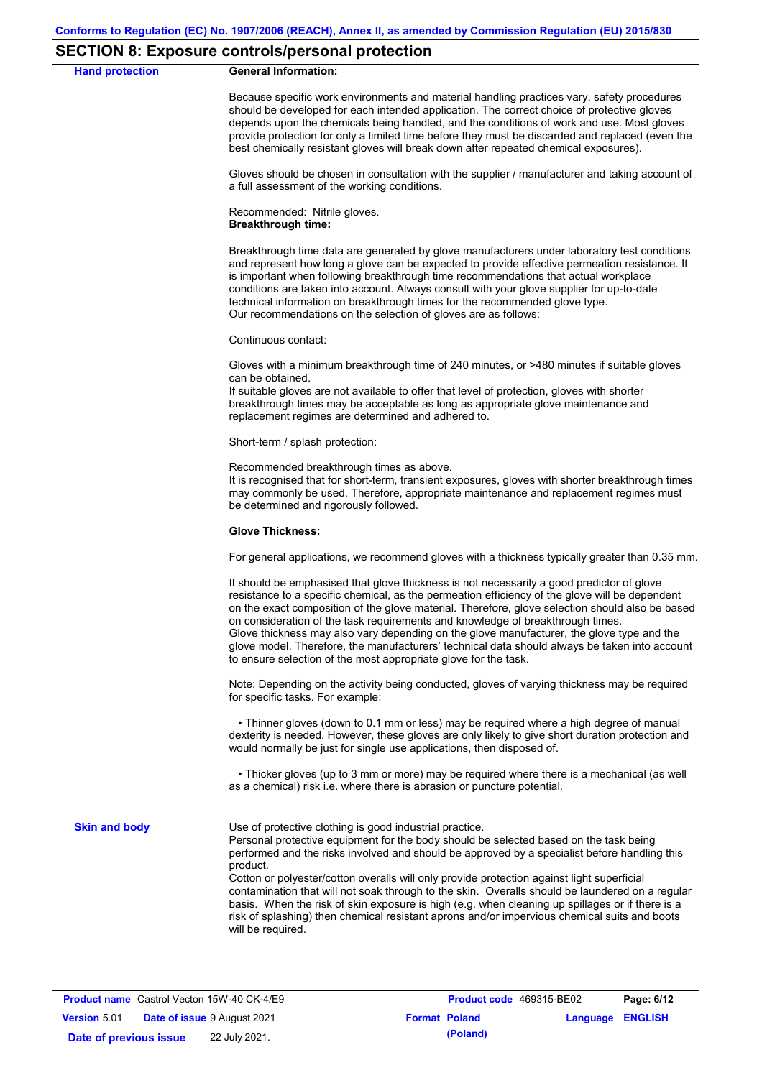### **SECTION 8: Exposure controls/personal protection**

### **Hand protection General Information:**

Because specific work environments and material handling practices vary, safety procedures should be developed for each intended application. The correct choice of protective gloves depends upon the chemicals being handled, and the conditions of work and use. Most gloves provide protection for only a limited time before they must be discarded and replaced (even the best chemically resistant gloves will break down after repeated chemical exposures).

Gloves should be chosen in consultation with the supplier / manufacturer and taking account of a full assessment of the working conditions.

Recommended: Nitrile gloves. **Breakthrough time:**

Breakthrough time data are generated by glove manufacturers under laboratory test conditions and represent how long a glove can be expected to provide effective permeation resistance. It is important when following breakthrough time recommendations that actual workplace conditions are taken into account. Always consult with your glove supplier for up-to-date technical information on breakthrough times for the recommended glove type. Our recommendations on the selection of gloves are as follows:

Continuous contact:

Gloves with a minimum breakthrough time of 240 minutes, or >480 minutes if suitable gloves can be obtained.

If suitable gloves are not available to offer that level of protection, gloves with shorter breakthrough times may be acceptable as long as appropriate glove maintenance and replacement regimes are determined and adhered to.

Short-term / splash protection:

Recommended breakthrough times as above.

It is recognised that for short-term, transient exposures, gloves with shorter breakthrough times may commonly be used. Therefore, appropriate maintenance and replacement regimes must be determined and rigorously followed.

### **Glove Thickness:**

For general applications, we recommend gloves with a thickness typically greater than 0.35 mm.

It should be emphasised that glove thickness is not necessarily a good predictor of glove resistance to a specific chemical, as the permeation efficiency of the glove will be dependent on the exact composition of the glove material. Therefore, glove selection should also be based on consideration of the task requirements and knowledge of breakthrough times. Glove thickness may also vary depending on the glove manufacturer, the glove type and the glove model. Therefore, the manufacturers' technical data should always be taken into account to ensure selection of the most appropriate glove for the task.

Note: Depending on the activity being conducted, gloves of varying thickness may be required for specific tasks. For example:

 • Thinner gloves (down to 0.1 mm or less) may be required where a high degree of manual dexterity is needed. However, these gloves are only likely to give short duration protection and would normally be just for single use applications, then disposed of.

 • Thicker gloves (up to 3 mm or more) may be required where there is a mechanical (as well as a chemical) risk i.e. where there is abrasion or puncture potential.

**Skin and body**

Use of protective clothing is good industrial practice.

Personal protective equipment for the body should be selected based on the task being performed and the risks involved and should be approved by a specialist before handling this product.

Cotton or polyester/cotton overalls will only provide protection against light superficial contamination that will not soak through to the skin. Overalls should be laundered on a regular basis. When the risk of skin exposure is high (e.g. when cleaning up spillages or if there is a risk of splashing) then chemical resistant aprons and/or impervious chemical suits and boots will be required.

|                        | <b>Product name</b> Castrol Vecton 15W-40 CK-4/E9 | <b>Product code</b> 469315-BE02 |                         | Page: 6/12 |
|------------------------|---------------------------------------------------|---------------------------------|-------------------------|------------|
| <b>Version 5.01</b>    | <b>Date of issue 9 August 2021</b>                | <b>Format Poland</b>            | <b>Language ENGLISH</b> |            |
| Date of previous issue | 22 July 2021.                                     | (Poland)                        |                         |            |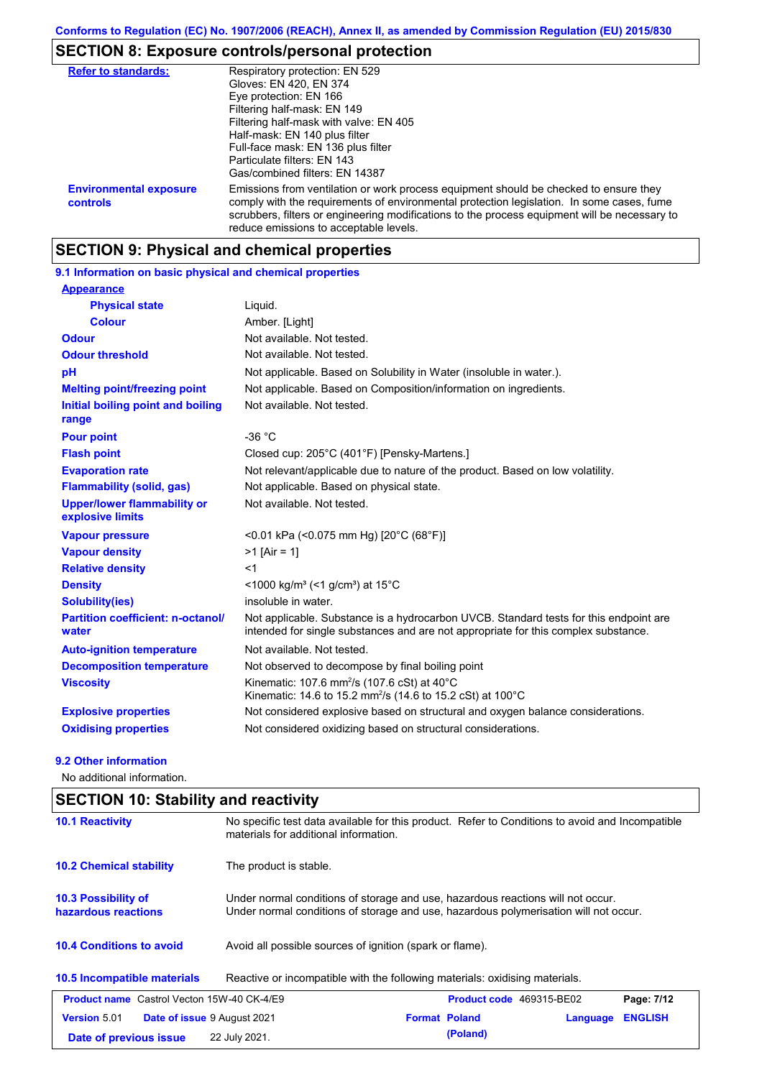# **SECTION 8: Exposure controls/personal protection**

| <b>Refer to standards:</b>                | Respiratory protection: EN 529                                                                                                                                                                                                                                                                                                |
|-------------------------------------------|-------------------------------------------------------------------------------------------------------------------------------------------------------------------------------------------------------------------------------------------------------------------------------------------------------------------------------|
|                                           | Gloves: EN 420, EN 374                                                                                                                                                                                                                                                                                                        |
|                                           | Eye protection: EN 166                                                                                                                                                                                                                                                                                                        |
|                                           | Filtering half-mask: EN 149                                                                                                                                                                                                                                                                                                   |
|                                           | Filtering half-mask with valve: EN 405                                                                                                                                                                                                                                                                                        |
|                                           | Half-mask: EN 140 plus filter                                                                                                                                                                                                                                                                                                 |
|                                           | Full-face mask: EN 136 plus filter                                                                                                                                                                                                                                                                                            |
|                                           | Particulate filters: EN 143                                                                                                                                                                                                                                                                                                   |
|                                           | Gas/combined filters: EN 14387                                                                                                                                                                                                                                                                                                |
| <b>Environmental exposure</b><br>controls | Emissions from ventilation or work process equipment should be checked to ensure they<br>comply with the requirements of environmental protection legislation. In some cases, fume<br>scrubbers, filters or engineering modifications to the process equipment will be necessary to<br>reduce emissions to acceptable levels. |

# **SECTION 9: Physical and chemical properties**

| 9.1 Information on basic physical and chemical properties |                                                                                                                                                                             |
|-----------------------------------------------------------|-----------------------------------------------------------------------------------------------------------------------------------------------------------------------------|
| <b>Appearance</b>                                         |                                                                                                                                                                             |
| <b>Physical state</b>                                     | Liquid.                                                                                                                                                                     |
| <b>Colour</b>                                             | Amber. [Light]                                                                                                                                                              |
| <b>Odour</b>                                              | Not available. Not tested.                                                                                                                                                  |
| <b>Odour threshold</b>                                    | Not available. Not tested.                                                                                                                                                  |
| pH                                                        | Not applicable. Based on Solubility in Water (insoluble in water.).                                                                                                         |
| <b>Melting point/freezing point</b>                       | Not applicable. Based on Composition/information on ingredients.                                                                                                            |
| Initial boiling point and boiling<br>range                | Not available. Not tested.                                                                                                                                                  |
| <b>Pour point</b>                                         | $-36 °C$                                                                                                                                                                    |
| <b>Flash point</b>                                        | Closed cup: 205°C (401°F) [Pensky-Martens.]                                                                                                                                 |
| <b>Evaporation rate</b>                                   | Not relevant/applicable due to nature of the product. Based on low volatility.                                                                                              |
| <b>Flammability (solid, gas)</b>                          | Not applicable. Based on physical state.                                                                                                                                    |
| <b>Upper/lower flammability or</b><br>explosive limits    | Not available. Not tested.                                                                                                                                                  |
| <b>Vapour pressure</b>                                    | <0.01 kPa (<0.075 mm Hg) [20°C (68°F)]                                                                                                                                      |
| <b>Vapour density</b>                                     | $>1$ [Air = 1]                                                                                                                                                              |
| <b>Relative density</b>                                   | $<$ 1                                                                                                                                                                       |
| <b>Density</b>                                            | <1000 kg/m <sup>3</sup> (<1 g/cm <sup>3</sup> ) at 15°C                                                                                                                     |
| <b>Solubility(ies)</b>                                    | insoluble in water.                                                                                                                                                         |
| <b>Partition coefficient: n-octanol/</b><br>water         | Not applicable. Substance is a hydrocarbon UVCB. Standard tests for this endpoint are<br>intended for single substances and are not appropriate for this complex substance. |
| <b>Auto-ignition temperature</b>                          | Not available. Not tested.                                                                                                                                                  |
| <b>Decomposition temperature</b>                          | Not observed to decompose by final boiling point                                                                                                                            |
| <b>Viscosity</b>                                          | Kinematic: 107.6 mm <sup>2</sup> /s (107.6 cSt) at 40°C<br>Kinematic: 14.6 to 15.2 mm <sup>2</sup> /s (14.6 to 15.2 cSt) at 100°C                                           |
| <b>Explosive properties</b>                               | Not considered explosive based on structural and oxygen balance considerations.                                                                                             |
| <b>Oxidising properties</b>                               | Not considered oxidizing based on structural considerations.                                                                                                                |

### **9.2 Other information**

No additional information.

| <b>SECTION 10: Stability and reactivity</b>               |                                                                                                                                                                         |  |  |  |
|-----------------------------------------------------------|-------------------------------------------------------------------------------------------------------------------------------------------------------------------------|--|--|--|
| <b>10.1 Reactivity</b>                                    | No specific test data available for this product. Refer to Conditions to avoid and Incompatible<br>materials for additional information.                                |  |  |  |
| <b>10.2 Chemical stability</b>                            | The product is stable.                                                                                                                                                  |  |  |  |
| <b>10.3 Possibility of</b><br>hazardous reactions         | Under normal conditions of storage and use, hazardous reactions will not occur.<br>Under normal conditions of storage and use, hazardous polymerisation will not occur. |  |  |  |
| <b>10.4 Conditions to avoid</b>                           | Avoid all possible sources of ignition (spark or flame).                                                                                                                |  |  |  |
| 10.5 Incompatible materials                               | Reactive or incompatible with the following materials: oxidising materials.                                                                                             |  |  |  |
| <b>Product name</b> Castrol Vecton 15W-40 CK-4/E9         | Product code 469315-BE02<br>Page: 7/12                                                                                                                                  |  |  |  |
| <b>Version 5.01</b><br><b>Date of issue 9 August 2021</b> | <b>Format Poland</b><br><b>ENGLISH</b><br>Language                                                                                                                      |  |  |  |
| Date of previous issue                                    | (Poland)<br>22 July 2021.                                                                                                                                               |  |  |  |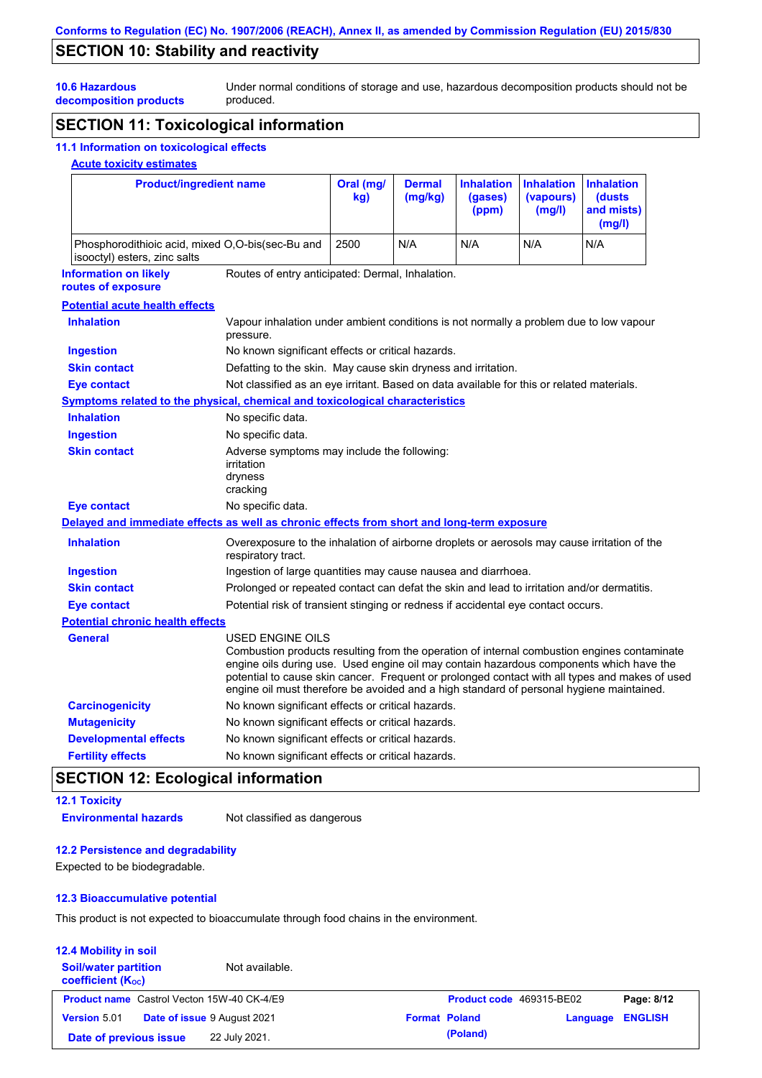## **SECTION 10: Stability and reactivity**

Under normal conditions of storage and use, hazardous decomposition products should not be produced.

**10.6 Hazardous decomposition products**

## **SECTION 11: Toxicological information**

### **11.1 Information on toxicological effects**

### **Acute toxicity estimates**

| <b>Product/ingredient name</b><br>Phosphorodithioic acid, mixed O,O-bis(sec-Bu and<br>isooctyl) esters, zinc salts |                                                                                                                                                                                                                                                                                                        | Oral (mg/<br>kq | <b>Dermal</b><br>(mg/kg) | <b>Inhalation</b><br>(gases)<br>(ppm) | <b>Inhalation</b><br>(vapours)<br>(mg/l)<br>N/A | <b>Inhalation</b><br>(dusts)<br>and mists)<br>(mg/l)                                           |
|--------------------------------------------------------------------------------------------------------------------|--------------------------------------------------------------------------------------------------------------------------------------------------------------------------------------------------------------------------------------------------------------------------------------------------------|-----------------|--------------------------|---------------------------------------|-------------------------------------------------|------------------------------------------------------------------------------------------------|
|                                                                                                                    |                                                                                                                                                                                                                                                                                                        | 2500            | N/A                      | N/A                                   |                                                 | N/A                                                                                            |
| <b>Information on likely</b><br>routes of exposure                                                                 | Routes of entry anticipated: Dermal, Inhalation.                                                                                                                                                                                                                                                       |                 |                          |                                       |                                                 |                                                                                                |
| <b>Potential acute health effects</b>                                                                              |                                                                                                                                                                                                                                                                                                        |                 |                          |                                       |                                                 |                                                                                                |
| <b>Inhalation</b>                                                                                                  | Vapour inhalation under ambient conditions is not normally a problem due to low vapour<br>pressure.                                                                                                                                                                                                    |                 |                          |                                       |                                                 |                                                                                                |
| <b>Ingestion</b>                                                                                                   | No known significant effects or critical hazards.                                                                                                                                                                                                                                                      |                 |                          |                                       |                                                 |                                                                                                |
| <b>Skin contact</b>                                                                                                | Defatting to the skin. May cause skin dryness and irritation.                                                                                                                                                                                                                                          |                 |                          |                                       |                                                 |                                                                                                |
| <b>Eye contact</b>                                                                                                 | Not classified as an eye irritant. Based on data available for this or related materials.                                                                                                                                                                                                              |                 |                          |                                       |                                                 |                                                                                                |
| <b>Symptoms related to the physical, chemical and toxicological characteristics</b>                                |                                                                                                                                                                                                                                                                                                        |                 |                          |                                       |                                                 |                                                                                                |
| <b>Inhalation</b>                                                                                                  | No specific data.                                                                                                                                                                                                                                                                                      |                 |                          |                                       |                                                 |                                                                                                |
| <b>Ingestion</b>                                                                                                   | No specific data.                                                                                                                                                                                                                                                                                      |                 |                          |                                       |                                                 |                                                                                                |
| <b>Skin contact</b>                                                                                                | Adverse symptoms may include the following:<br>irritation<br>dryness<br>cracking                                                                                                                                                                                                                       |                 |                          |                                       |                                                 |                                                                                                |
| <b>Eye contact</b>                                                                                                 | No specific data.                                                                                                                                                                                                                                                                                      |                 |                          |                                       |                                                 |                                                                                                |
| Delayed and immediate effects as well as chronic effects from short and long-term exposure                         |                                                                                                                                                                                                                                                                                                        |                 |                          |                                       |                                                 |                                                                                                |
| <b>Inhalation</b>                                                                                                  | Overexposure to the inhalation of airborne droplets or aerosols may cause irritation of the<br>respiratory tract.                                                                                                                                                                                      |                 |                          |                                       |                                                 |                                                                                                |
| <b>Ingestion</b>                                                                                                   | Ingestion of large quantities may cause nausea and diarrhoea.                                                                                                                                                                                                                                          |                 |                          |                                       |                                                 |                                                                                                |
| <b>Skin contact</b>                                                                                                | Prolonged or repeated contact can defat the skin and lead to irritation and/or dermatitis.                                                                                                                                                                                                             |                 |                          |                                       |                                                 |                                                                                                |
| <b>Eye contact</b>                                                                                                 | Potential risk of transient stinging or redness if accidental eye contact occurs.                                                                                                                                                                                                                      |                 |                          |                                       |                                                 |                                                                                                |
| <b>Potential chronic health effects</b>                                                                            |                                                                                                                                                                                                                                                                                                        |                 |                          |                                       |                                                 |                                                                                                |
| <b>General</b>                                                                                                     | USED ENGINE OILS<br>Combustion products resulting from the operation of internal combustion engines contaminate<br>engine oils during use. Used engine oil may contain hazardous components which have the<br>engine oil must therefore be avoided and a high standard of personal hygiene maintained. |                 |                          |                                       |                                                 | potential to cause skin cancer. Frequent or prolonged contact with all types and makes of used |
| <b>Carcinogenicity</b>                                                                                             | No known significant effects or critical hazards.                                                                                                                                                                                                                                                      |                 |                          |                                       |                                                 |                                                                                                |
| <b>Mutagenicity</b>                                                                                                | No known significant effects or critical hazards.                                                                                                                                                                                                                                                      |                 |                          |                                       |                                                 |                                                                                                |
| <b>Developmental effects</b>                                                                                       | No known significant effects or critical hazards.                                                                                                                                                                                                                                                      |                 |                          |                                       |                                                 |                                                                                                |
| <b>Fertility effects</b>                                                                                           | No known significant effects or critical hazards.                                                                                                                                                                                                                                                      |                 |                          |                                       |                                                 |                                                                                                |

## **SECTION 12: Ecological information**

### **12.1 Toxicity Environmental hazards** Not classified as dangerous

### **12.2 Persistence and degradability**

Expected to be biodegradable.

### **12.3 Bioaccumulative potential**

This product is not expected to bioaccumulate through food chains in the environment.

### **12.4 Mobility in soil Soil/water partition coefficient (KOC)** Not available. **Product name** Castrol Vecton 15W-40 CK-4/E9 **Product Code 469315-BE02 Page: 8/12 Version** 5.01 **Date of issue** 9 August 2021 **Format Poland Language ENGLISH Date of previous issue 22 July 2021. (Poland) (Poland)**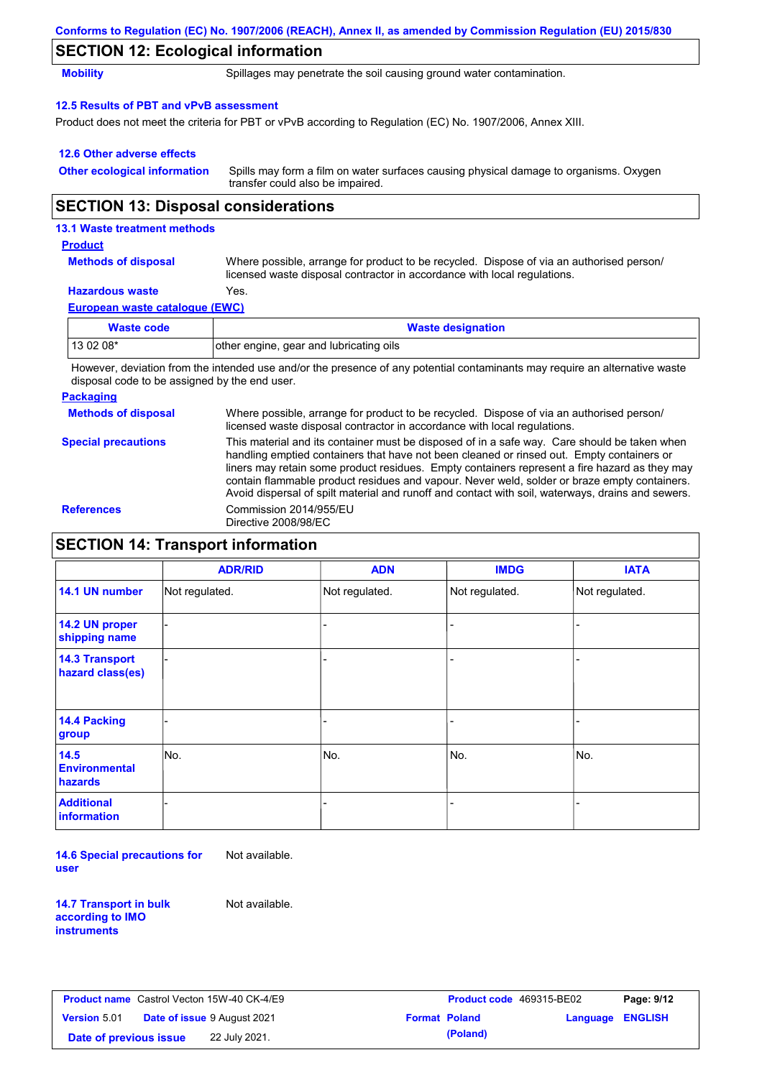|                                            | Conforms to Regulation (EC) No. 1907/2006 (REACH), Annex II, as amended by Commission Regulation (EU) 2015/830                                                       |
|--------------------------------------------|----------------------------------------------------------------------------------------------------------------------------------------------------------------------|
| <b>SECTION 12: Ecological information</b>  |                                                                                                                                                                      |
| <b>Mobility</b>                            | Spillages may penetrate the soil causing ground water contamination.                                                                                                 |
| 12.5 Results of PBT and vPvB assessment    |                                                                                                                                                                      |
|                                            | Product does not meet the criteria for PBT or vPvB according to Regulation (EC) No. 1907/2006, Annex XIII.                                                           |
| 12.6 Other adverse effects                 |                                                                                                                                                                      |
| <b>Other ecological information</b>        | Spills may form a film on water surfaces causing physical damage to organisms. Oxygen<br>transfer could also be impaired.                                            |
| <b>SECTION 13: Disposal considerations</b> |                                                                                                                                                                      |
| 13.1 Waste treatment methods               |                                                                                                                                                                      |
| <b>Product</b>                             |                                                                                                                                                                      |
| <b>Methods of disposal</b>                 | Where possible, arrange for product to be recycled. Dispose of via an authorised person/<br>licensed waste disposal contractor in accordance with local regulations. |
| <b>Hazardous waste</b>                     | Yes.                                                                                                                                                                 |
| <b>European waste catalogue (EWC)</b>      |                                                                                                                                                                      |

| Waste code                                                                                                                | <b>Waste designation</b>                |  |  |  |
|---------------------------------------------------------------------------------------------------------------------------|-----------------------------------------|--|--|--|
| $130208*$                                                                                                                 | other engine, gear and lubricating oils |  |  |  |
| Unuque deviation from the intended use and/or the presence of any potential conteminante may require an elternative words |                                         |  |  |  |

However, deviation from the intended use and/or the presence of any potential contaminants may require an alternative waste disposal code to be assigned by the end user.

### **Packaging**

**Methods of disposal Special precautions** Where possible, arrange for product to be recycled. Dispose of via an authorised person/ licensed waste disposal contractor in accordance with local regulations. This material and its container must be disposed of in a safe way. Care should be taken when handling emptied containers that have not been cleaned or rinsed out. Empty containers or

liners may retain some product residues. Empty containers represent a fire hazard as they may contain flammable product residues and vapour. Never weld, solder or braze empty containers. Avoid dispersal of spilt material and runoff and contact with soil, waterways, drains and sewers. **References** Commission 2014/955/EU Directive 2008/98/EC

## **SECTION 14: Transport information**

|                                           | <b>ADR/RID</b> | <b>ADN</b>     | <b>IMDG</b>    | <b>IATA</b>    |
|-------------------------------------------|----------------|----------------|----------------|----------------|
| 14.1 UN number                            | Not regulated. | Not regulated. | Not regulated. | Not regulated. |
| 14.2 UN proper<br>shipping name           |                |                |                |                |
| <b>14.3 Transport</b><br>hazard class(es) |                |                |                |                |
| <b>14.4 Packing</b><br>group              |                |                |                |                |
| 14.5<br><b>Environmental</b><br>hazards   | No.            | No.            | No.            | No.            |
| <b>Additional</b><br>information          |                |                |                |                |

**14.6 Special precautions for user** Not available.

**14.7 Transport in bulk according to IMO instruments**

Not available.

| <b>Product name</b> Castrol Vecton 15W-40 CK-4/E9 |                                    |                      | <b>Product code</b> |
|---------------------------------------------------|------------------------------------|----------------------|---------------------|
| <b>Version 5.01</b>                               | <b>Date of issue 9 August 2021</b> | <b>Format Poland</b> |                     |
| Date of previous issue                            | 22 July 2021.                      | (Poland)             |                     |

|            | Castrol Vecton 15W-40 CK-4/E9      |                      | <b>Product code</b> 469315-BE02 |                         | Page: 9/12 |
|------------|------------------------------------|----------------------|---------------------------------|-------------------------|------------|
|            | <b>Date of issue 9 August 2021</b> | <b>Format Poland</b> |                                 | <b>Language ENGLISH</b> |            |
| pus issuel | 22 July 2021.                      |                      | (Poland)                        |                         |            |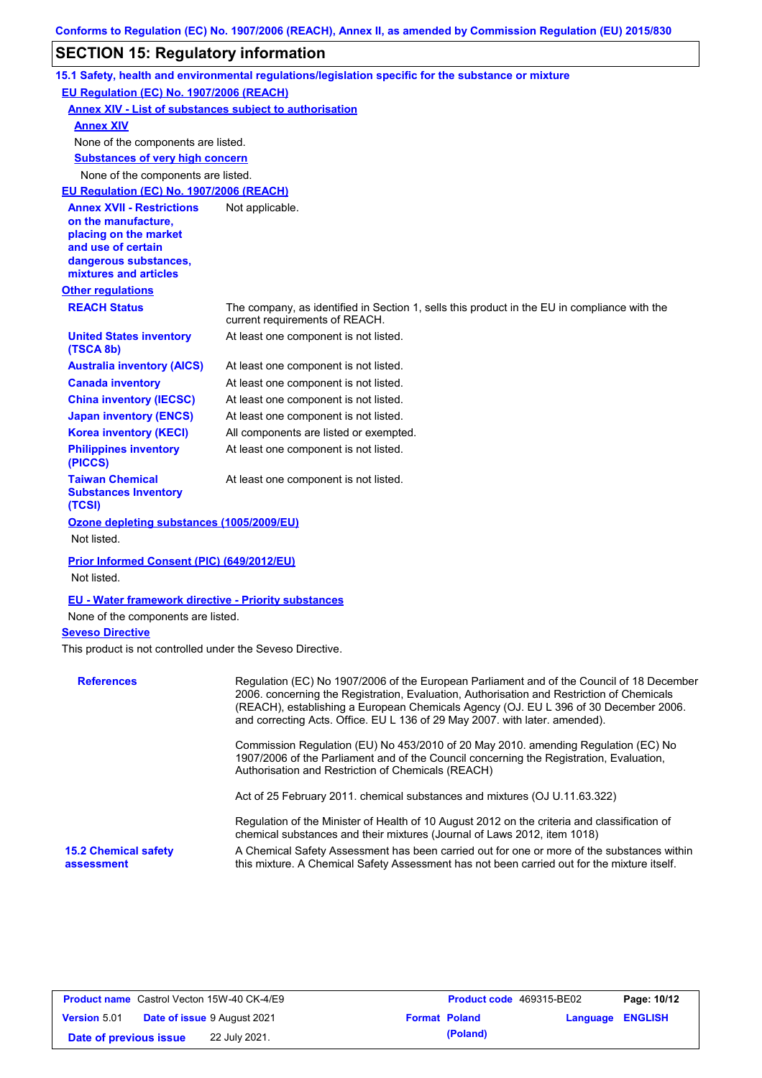## **SECTION 15: Regulatory information**

|                                                                                                                                                          | 15.1 Safety, health and environmental regulations/legislation specific for the substance or mixture                                                                                                                                                                            |
|----------------------------------------------------------------------------------------------------------------------------------------------------------|--------------------------------------------------------------------------------------------------------------------------------------------------------------------------------------------------------------------------------------------------------------------------------|
| <b>EU Regulation (EC) No. 1907/2006 (REACH)</b>                                                                                                          |                                                                                                                                                                                                                                                                                |
| <b>Annex XIV - List of substances subject to authorisation</b>                                                                                           |                                                                                                                                                                                                                                                                                |
| <b>Annex XIV</b>                                                                                                                                         |                                                                                                                                                                                                                                                                                |
| None of the components are listed.                                                                                                                       |                                                                                                                                                                                                                                                                                |
| <b>Substances of very high concern</b>                                                                                                                   |                                                                                                                                                                                                                                                                                |
| None of the components are listed.                                                                                                                       |                                                                                                                                                                                                                                                                                |
| <b>EU Regulation (EC) No. 1907/2006 (REACH)</b>                                                                                                          |                                                                                                                                                                                                                                                                                |
| <b>Annex XVII - Restrictions</b><br>on the manufacture,<br>placing on the market<br>and use of certain<br>dangerous substances,<br>mixtures and articles | Not applicable.                                                                                                                                                                                                                                                                |
| <b>Other regulations</b>                                                                                                                                 |                                                                                                                                                                                                                                                                                |
| <b>REACH Status</b>                                                                                                                                      | The company, as identified in Section 1, sells this product in the EU in compliance with the<br>current requirements of REACH.                                                                                                                                                 |
| <b>United States inventory</b><br>(TSCA 8b)                                                                                                              | At least one component is not listed.                                                                                                                                                                                                                                          |
| <b>Australia inventory (AICS)</b>                                                                                                                        | At least one component is not listed.                                                                                                                                                                                                                                          |
| <b>Canada inventory</b>                                                                                                                                  | At least one component is not listed.                                                                                                                                                                                                                                          |
| <b>China inventory (IECSC)</b>                                                                                                                           | At least one component is not listed.                                                                                                                                                                                                                                          |
| <b>Japan inventory (ENCS)</b>                                                                                                                            | At least one component is not listed.                                                                                                                                                                                                                                          |
| <b>Korea inventory (KECI)</b>                                                                                                                            | All components are listed or exempted.                                                                                                                                                                                                                                         |
| <b>Philippines inventory</b><br>(PICCS)                                                                                                                  | At least one component is not listed.                                                                                                                                                                                                                                          |
| <b>Taiwan Chemical</b><br><b>Substances Inventory</b><br>(TCSI)                                                                                          | At least one component is not listed.                                                                                                                                                                                                                                          |
| Ozone depleting substances (1005/2009/EU)                                                                                                                |                                                                                                                                                                                                                                                                                |
| Not listed.                                                                                                                                              |                                                                                                                                                                                                                                                                                |
| Prior Informed Consent (PIC) (649/2012/EU)<br>Not listed.                                                                                                |                                                                                                                                                                                                                                                                                |
| <b>EU - Water framework directive - Priority substances</b>                                                                                              |                                                                                                                                                                                                                                                                                |
| None of the components are listed.                                                                                                                       |                                                                                                                                                                                                                                                                                |
| <b>Seveso Directive</b>                                                                                                                                  |                                                                                                                                                                                                                                                                                |
| This product is not controlled under the Seveso Directive.                                                                                               |                                                                                                                                                                                                                                                                                |
| <b>References</b>                                                                                                                                        | Regulation (EC) No 1907/2006 of the European Parliament and of the Council of 18 December<br>2006. concerning the Registration, Evaluation, Authorisation and Restriction of Chemicals<br>(REACH), establishing a European Chemicals Agency (OJ. EU L 396 of 30 December 2006. |

and correcting Acts. Office. EU L 136 of 29 May 2007. with later. amended). Commission Regulation (EU) No 453/2010 of 20 May 2010. amending Regulation (EC) No 1907/2006 of the Parliament and of the Council concerning the Registration, Evaluation,

Authorisation and Restriction of Chemicals (REACH)

Act of 25 February 2011. chemical substances and mixtures (OJ U.11.63.322)

Regulation of the Minister of Health of 10 August 2012 on the criteria and classification of chemical substances and their mixtures (Journal of Laws 2012, item 1018)

**15.2 Chemical safety assessment**

A Chemical Safety Assessment has been carried out for one or more of the substances within this mixture. A Chemical Safety Assessment has not been carried out for the mixture itself.

| <b>Product name</b> Castrol Vecton 15W-40 CK-4/E9 |  |                                    | <b>Product code</b> 469315-BE02 |                      | Page: 10/12             |  |
|---------------------------------------------------|--|------------------------------------|---------------------------------|----------------------|-------------------------|--|
| <b>Version 5.01</b>                               |  | <b>Date of issue 9 August 2021</b> |                                 | <b>Format Poland</b> | <b>Language ENGLISH</b> |  |
| Date of previous issue                            |  | 22 July 2021.                      |                                 | (Poland)             |                         |  |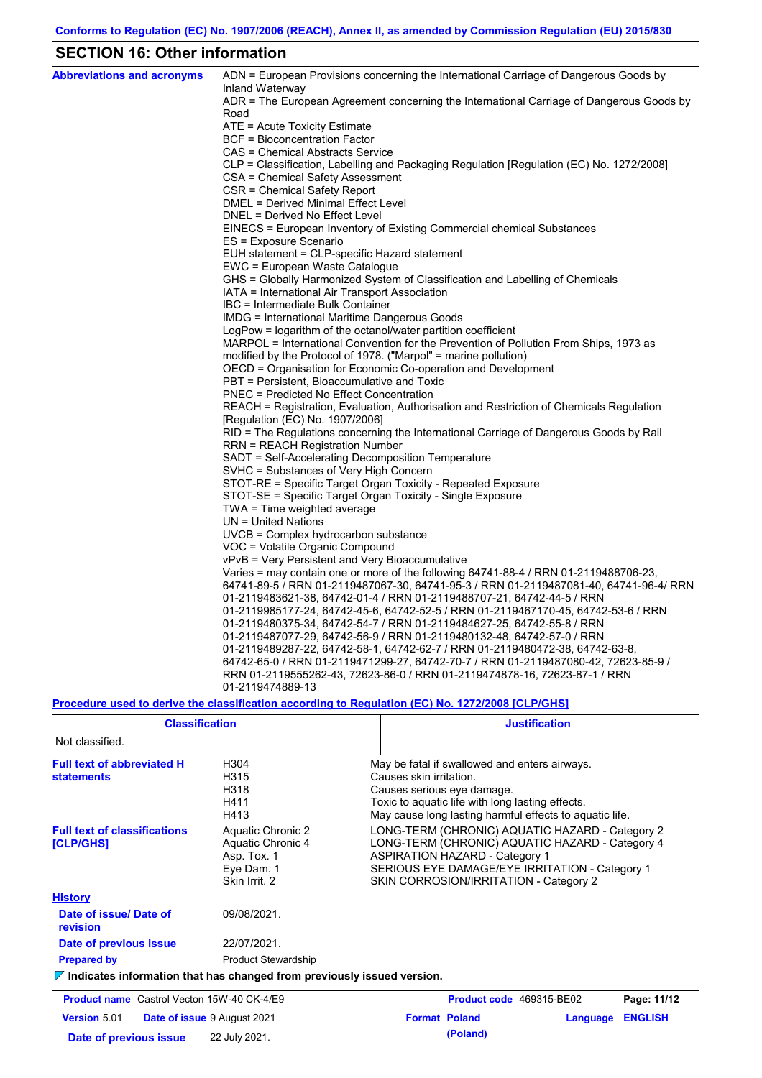## **SECTION 16: Other information**

 $\mathbf{r}$ 

| <b>Abbreviations and acronyms</b> | ADN = European Provisions concerning the International Carriage of Dangerous Goods by<br>Inland Waterway       |
|-----------------------------------|----------------------------------------------------------------------------------------------------------------|
|                                   | ADR = The European Agreement concerning the International Carriage of Dangerous Goods by                       |
|                                   | Road                                                                                                           |
|                                   | ATE = Acute Toxicity Estimate                                                                                  |
|                                   | BCF = Bioconcentration Factor                                                                                  |
|                                   | CAS = Chemical Abstracts Service                                                                               |
|                                   | CLP = Classification, Labelling and Packaging Regulation [Regulation (EC) No. 1272/2008]                       |
|                                   | CSA = Chemical Safety Assessment                                                                               |
|                                   | CSR = Chemical Safety Report                                                                                   |
|                                   | DMEL = Derived Minimal Effect Level                                                                            |
|                                   | DNEL = Derived No Effect Level                                                                                 |
|                                   | EINECS = European Inventory of Existing Commercial chemical Substances                                         |
|                                   | ES = Exposure Scenario                                                                                         |
|                                   | EUH statement = CLP-specific Hazard statement                                                                  |
|                                   | EWC = European Waste Catalogue                                                                                 |
|                                   | GHS = Globally Harmonized System of Classification and Labelling of Chemicals                                  |
|                                   | IATA = International Air Transport Association                                                                 |
|                                   | IBC = Intermediate Bulk Container                                                                              |
|                                   | IMDG = International Maritime Dangerous Goods<br>LogPow = logarithm of the octanol/water partition coefficient |
|                                   | MARPOL = International Convention for the Prevention of Pollution From Ships, 1973 as                          |
|                                   | modified by the Protocol of 1978. ("Marpol" = marine pollution)                                                |
|                                   | OECD = Organisation for Economic Co-operation and Development                                                  |
|                                   | PBT = Persistent, Bioaccumulative and Toxic                                                                    |
|                                   | <b>PNEC = Predicted No Effect Concentration</b>                                                                |
|                                   | REACH = Registration, Evaluation, Authorisation and Restriction of Chemicals Regulation                        |
|                                   | [Regulation (EC) No. 1907/2006]                                                                                |
|                                   | RID = The Regulations concerning the International Carriage of Dangerous Goods by Rail                         |
|                                   | RRN = REACH Registration Number                                                                                |
|                                   | SADT = Self-Accelerating Decomposition Temperature                                                             |
|                                   | SVHC = Substances of Very High Concern                                                                         |
|                                   | STOT-RE = Specific Target Organ Toxicity - Repeated Exposure                                                   |
|                                   | STOT-SE = Specific Target Organ Toxicity - Single Exposure                                                     |
|                                   | TWA = Time weighted average                                                                                    |
|                                   | $UN = United Nations$                                                                                          |
|                                   | UVCB = Complex hydrocarbon substance                                                                           |
|                                   | VOC = Volatile Organic Compound                                                                                |
|                                   | vPvB = Very Persistent and Very Bioaccumulative                                                                |
|                                   | Varies = may contain one or more of the following 64741-88-4 / RRN 01-2119488706-23,                           |
|                                   | 64741-89-5 / RRN 01-2119487067-30, 64741-95-3 / RRN 01-2119487081-40, 64741-96-4/ RRN                          |
|                                   | 01-2119483621-38, 64742-01-4 / RRN 01-2119488707-21, 64742-44-5 / RRN                                          |
|                                   | 01-2119985177-24, 64742-45-6, 64742-52-5 / RRN 01-2119467170-45, 64742-53-6 / RRN                              |
|                                   | 01-2119480375-34, 64742-54-7 / RRN 01-2119484627-25, 64742-55-8 / RRN                                          |
|                                   | 01-2119487077-29, 64742-56-9 / RRN 01-2119480132-48, 64742-57-0 / RRN                                          |
|                                   | .01-2119489287-22, 64742-58-1, 64742-62-7 / RRN 01-2119480472-38, 64742-63-8                                   |
|                                   | 64742-65-0 / RRN 01-2119471299-27, 64742-70-7 / RRN 01-2119487080-42, 72623-85-9 /                             |
|                                   | RRN 01-2119555262-43, 72623-86-0 / RRN 01-2119474878-16, 72623-87-1 / RRN                                      |
|                                   | 01-2119474889-13                                                                                               |

### **Procedure used to derive the classification according to Regulation (EC) No. 1272/2008 [CLP/GHS]**

| <b>Classification</b>                                                                                |                                                                                      |  | <b>Justification</b>                                                                                                                                                                                                                    |  |                |  |
|------------------------------------------------------------------------------------------------------|--------------------------------------------------------------------------------------|--|-----------------------------------------------------------------------------------------------------------------------------------------------------------------------------------------------------------------------------------------|--|----------------|--|
| Not classified.                                                                                      |                                                                                      |  |                                                                                                                                                                                                                                         |  |                |  |
| <b>Full text of abbreviated H</b><br><b>statements</b>                                               | H304<br>H315<br>H318<br>H411<br>H413                                                 |  | May be fatal if swallowed and enters airways.<br>Causes skin irritation.<br>Causes serious eye damage.<br>Toxic to aquatic life with long lasting effects.<br>May cause long lasting harmful effects to aquatic life.                   |  |                |  |
| <b>Full text of classifications</b><br>[CLP/GHS]                                                     | Aquatic Chronic 2<br>Aquatic Chronic 4<br>Asp. Tox. 1<br>Eye Dam. 1<br>Skin Irrit, 2 |  | LONG-TERM (CHRONIC) AQUATIC HAZARD - Category 2<br>LONG-TERM (CHRONIC) AQUATIC HAZARD - Category 4<br><b>ASPIRATION HAZARD - Category 1</b><br>SERIOUS EYE DAMAGE/EYE IRRITATION - Category 1<br>SKIN CORROSION/IRRITATION - Category 2 |  |                |  |
| <b>History</b>                                                                                       |                                                                                      |  |                                                                                                                                                                                                                                         |  |                |  |
| Date of issue/Date of<br>revision                                                                    | 09/08/2021.                                                                          |  |                                                                                                                                                                                                                                         |  |                |  |
| Date of previous issue                                                                               | 22/07/2021.                                                                          |  |                                                                                                                                                                                                                                         |  |                |  |
| <b>Prepared by</b>                                                                                   | <b>Product Stewardship</b>                                                           |  |                                                                                                                                                                                                                                         |  |                |  |
| $\triangledown$ Indicates information that has changed from previously issued version.               |                                                                                      |  |                                                                                                                                                                                                                                         |  |                |  |
| <b>Product name</b> Castrol Vecton 15W-40 CK-4/E9                                                    |                                                                                      |  | Product code 469315-BE02                                                                                                                                                                                                                |  | Page: 11/12    |  |
| <b>Version 5.01</b><br><b>Date of issue 9 August 2021</b><br>22 July 2021.<br>Date of previous issue |                                                                                      |  | <b>Format Poland</b><br>Language                                                                                                                                                                                                        |  | <b>ENGLISH</b> |  |
|                                                                                                      |                                                                                      |  | (Poland)                                                                                                                                                                                                                                |  |                |  |